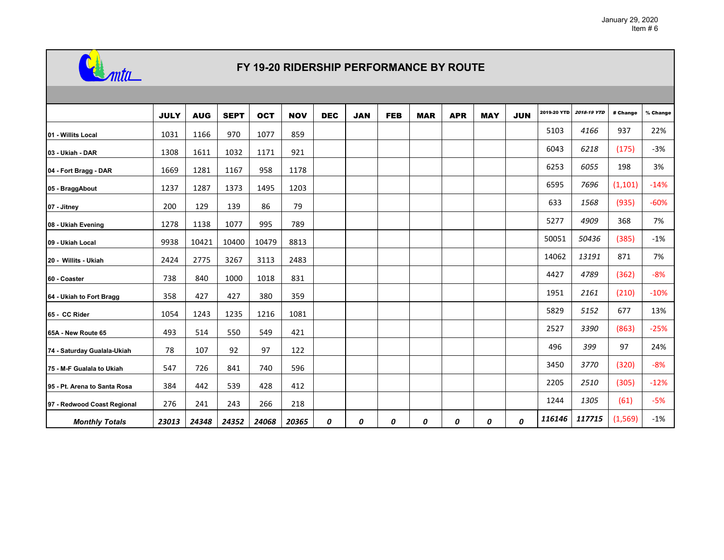

## **FY 19-20 RIDERSHIP PERFORMANCE BY ROUTE**

|                              | <b>JULY</b> | <b>AUG</b> | <b>SEPT</b> | <b>OCT</b> | <b>NOV</b> | <b>DEC</b> | <b>JAN</b> | <b>FEB</b> | <b>MAR</b> | <b>APR</b> | <b>MAY</b> | <b>JUN</b> | 2019-20 YTD | <b>2018-19 YTD</b> | # Change | % Change |
|------------------------------|-------------|------------|-------------|------------|------------|------------|------------|------------|------------|------------|------------|------------|-------------|--------------------|----------|----------|
| 01 - Willits Local           | 1031        | 1166       | 970         | 1077       | 859        |            |            |            |            |            |            |            | 5103        | 4166               | 937      | 22%      |
| 03 - Ukiah - DAR             | 1308        | 1611       | 1032        | 1171       | 921        |            |            |            |            |            |            |            | 6043        | 6218               | (175)    | $-3%$    |
| 04 - Fort Bragg - DAR        | 1669        | 1281       | 1167        | 958        | 1178       |            |            |            |            |            |            |            | 6253        | 6055               | 198      | 3%       |
| 05 - BraggAbout              | 1237        | 1287       | 1373        | 1495       | 1203       |            |            |            |            |            |            |            | 6595        | 7696               | (1, 101) | $-14%$   |
| 07 - Jitney                  | 200         | 129        | 139         | 86         | 79         |            |            |            |            |            |            |            | 633         | 1568               | (935)    | $-60%$   |
| 08 - Ukiah Evening           | 1278        | 1138       | 1077        | 995        | 789        |            |            |            |            |            |            |            | 5277        | 4909               | 368      | 7%       |
| 09 - Ukiah Local             | 9938        | 10421      | 10400       | 10479      | 8813       |            |            |            |            |            |            |            | 50051       | 50436              | (385)    | $-1%$    |
| 20 - Willits - Ukiah         | 2424        | 2775       | 3267        | 3113       | 2483       |            |            |            |            |            |            |            | 14062       | 13191              | 871      | 7%       |
| 60 - Coaster                 | 738         | 840        | 1000        | 1018       | 831        |            |            |            |            |            |            |            | 4427        | 4789               | (362)    | $-8%$    |
| 64 - Ukiah to Fort Bragg     | 358         | 427        | 427         | 380        | 359        |            |            |            |            |            |            |            | 1951        | 2161               | (210)    | $-10%$   |
| 65 - CC Rider                | 1054        | 1243       | 1235        | 1216       | 1081       |            |            |            |            |            |            |            | 5829        | 5152               | 677      | 13%      |
| 65A - New Route 65           | 493         | 514        | 550         | 549        | 421        |            |            |            |            |            |            |            | 2527        | 3390               | (863)    | $-25%$   |
| 74 - Saturday Gualala-Ukiah  | 78          | 107        | 92          | 97         | 122        |            |            |            |            |            |            |            | 496         | 399                | 97       | 24%      |
| 75 - M-F Gualala to Ukiah    | 547         | 726        | 841         | 740        | 596        |            |            |            |            |            |            |            | 3450        | 3770               | (320)    | -8%      |
| 95 - Pt. Arena to Santa Rosa | 384         | 442        | 539         | 428        | 412        |            |            |            |            |            |            |            | 2205        | 2510               | (305)    | $-12%$   |
| 97 - Redwood Coast Regional  | 276         | 241        | 243         | 266        | 218        |            |            |            |            |            |            |            | 1244        | 1305               | (61)     | $-5%$    |
| <b>Monthly Totals</b>        | 23013       | 24348      | 24352       | 24068      | 20365      | 0          | 0          | 0          | 0          | 0          | 0          | 0          | 116146      | 117715             | (1, 569) | $-1%$    |